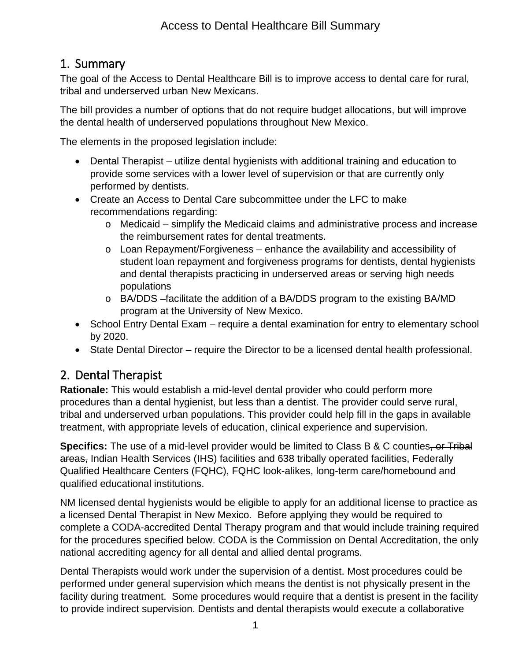# 1. Summary

The goal of the Access to Dental Healthcare Bill is to improve access to dental care for rural, tribal and underserved urban New Mexicans.

The bill provides a number of options that do not require budget allocations, but will improve the dental health of underserved populations throughout New Mexico.

The elements in the proposed legislation include:

- Dental Therapist utilize dental hygienists with additional training and education to provide some services with a lower level of supervision or that are currently only performed by dentists.
- Create an Access to Dental Care subcommittee under the LFC to make recommendations regarding:
	- o Medicaid simplify the Medicaid claims and administrative process and increase the reimbursement rates for dental treatments.
	- o Loan Repayment/Forgiveness enhance the availability and accessibility of student loan repayment and forgiveness programs for dentists, dental hygienists and dental therapists practicing in underserved areas or serving high needs populations
	- o BA/DDS –facilitate the addition of a BA/DDS program to the existing BA/MD program at the University of New Mexico.
- School Entry Dental Exam require a dental examination for entry to elementary school by 2020.
- State Dental Director require the Director to be a licensed dental health professional.

# 2. Dental Therapist

**Rationale:** This would establish a mid-level dental provider who could perform more procedures than a dental hygienist, but less than a dentist. The provider could serve rural, tribal and underserved urban populations. This provider could help fill in the gaps in available treatment, with appropriate levels of education, clinical experience and supervision.

**Specifics:** The use of a mid-level provider would be limited to Class B & C counties, or Tribal areas, Indian Health Services (IHS) facilities and 638 tribally operated facilities, Federally Qualified Healthcare Centers (FQHC), FQHC look-alikes, long-term care/homebound and qualified educational institutions.

NM licensed dental hygienists would be eligible to apply for an additional license to practice as a licensed Dental Therapist in New Mexico. Before applying they would be required to complete a CODA-accredited Dental Therapy program and that would include training required for the procedures specified below. CODA is the Commission on Dental Accreditation, the only national accrediting agency for all dental and allied dental programs.

Dental Therapists would work under the supervision of a dentist. Most procedures could be performed under general supervision which means the dentist is not physically present in the facility during treatment. Some procedures would require that a dentist is present in the facility to provide indirect supervision. Dentists and dental therapists would execute a collaborative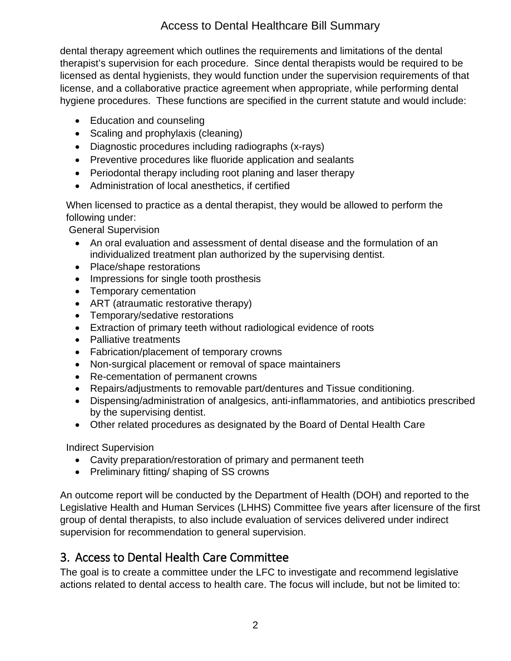#### Access to Dental Healthcare Bill Summary

dental therapy agreement which outlines the requirements and limitations of the dental therapist's supervision for each procedure. Since dental therapists would be required to be licensed as dental hygienists, they would function under the supervision requirements of that license, and a collaborative practice agreement when appropriate, while performing dental hygiene procedures. These functions are specified in the current statute and would include:

- Education and counseling
- Scaling and prophylaxis (cleaning)
- Diagnostic procedures including radiographs (x-rays)
- Preventive procedures like fluoride application and sealants
- Periodontal therapy including root planing and laser therapy
- Administration of local anesthetics, if certified

When licensed to practice as a dental therapist, they would be allowed to perform the following under:

General Supervision

- An oral evaluation and assessment of dental disease and the formulation of an individualized treatment plan authorized by the supervising dentist.
- Place/shape restorations
- Impressions for single tooth prosthesis
- Temporary cementation
- ART (atraumatic restorative therapy)
- Temporary/sedative restorations
- Extraction of primary teeth without radiological evidence of roots
- Palliative treatments
- Fabrication/placement of temporary crowns
- Non-surgical placement or removal of space maintainers
- Re-cementation of permanent crowns
- Repairs/adjustments to removable part/dentures and Tissue conditioning.
- Dispensing/administration of analgesics, anti-inflammatories, and antibiotics prescribed by the supervising dentist.
- Other related procedures as designated by the Board of Dental Health Care

Indirect Supervision

- Cavity preparation/restoration of primary and permanent teeth
- Preliminary fitting/ shaping of SS crowns

An outcome report will be conducted by the Department of Health (DOH) and reported to the Legislative Health and Human Services (LHHS) Committee five years after licensure of the first group of dental therapists, to also include evaluation of services delivered under indirect supervision for recommendation to general supervision.

### 3. Access to Dental Health Care Committee

The goal is to create a committee under the LFC to investigate and recommend legislative actions related to dental access to health care. The focus will include, but not be limited to: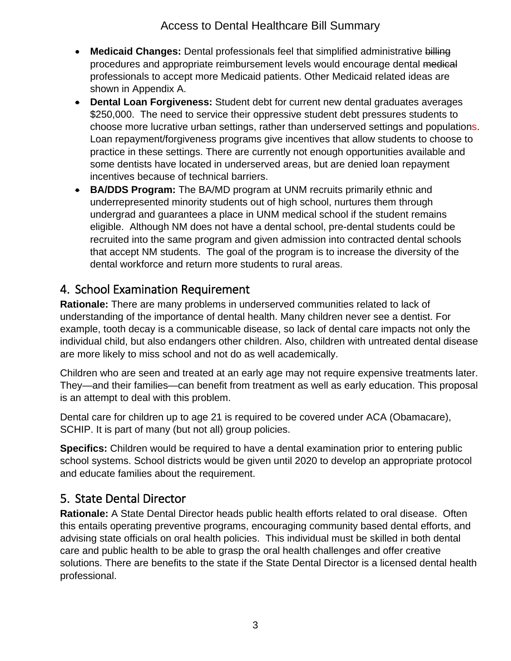#### Access to Dental Healthcare Bill Summary

- **Medicaid Changes:** Dental professionals feel that simplified administrative billing procedures and appropriate reimbursement levels would encourage dental medical professionals to accept more Medicaid patients. Other Medicaid related ideas are shown in Appendix A.
- **Dental Loan Forgiveness:** Student debt for current new dental graduates averages \$250,000. The need to service their oppressive student debt pressures students to choose more lucrative urban settings, rather than underserved settings and populations. Loan repayment/forgiveness programs give incentives that allow students to choose to practice in these settings. There are currently not enough opportunities available and some dentists have located in underserved areas, but are denied loan repayment incentives because of technical barriers.
- **BA/DDS Program:** The BA/MD program at UNM recruits primarily ethnic and underrepresented minority students out of high school, nurtures them through undergrad and guarantees a place in UNM medical school if the student remains eligible. Although NM does not have a dental school, pre-dental students could be recruited into the same program and given admission into contracted dental schools that accept NM students. The goal of the program is to increase the diversity of the dental workforce and return more students to rural areas.

## 4. School Examination Requirement

**Rationale:** There are many problems in underserved communities related to lack of understanding of the importance of dental health. Many children never see a dentist. For example, tooth decay is a communicable disease, so lack of dental care impacts not only the individual child, but also endangers other children. Also, children with untreated dental disease are more likely to miss school and not do as well academically.

Children who are seen and treated at an early age may not require expensive treatments later. They—and their families—can benefit from treatment as well as early education. This proposal is an attempt to deal with this problem.

Dental care for children up to age 21 is required to be covered under ACA (Obamacare), SCHIP. It is part of many (but not all) group policies.

**Specifics:** Children would be required to have a dental examination prior to entering public school systems. School districts would be given until 2020 to develop an appropriate protocol and educate families about the requirement.

### 5. State Dental Director

**Rationale:** A State Dental Director heads public health efforts related to oral disease. Often this entails operating preventive programs, encouraging community based dental efforts, and advising state officials on oral health policies. This individual must be skilled in both dental care and public health to be able to grasp the oral health challenges and offer creative solutions. There are benefits to the state if the State Dental Director is a licensed dental health professional.